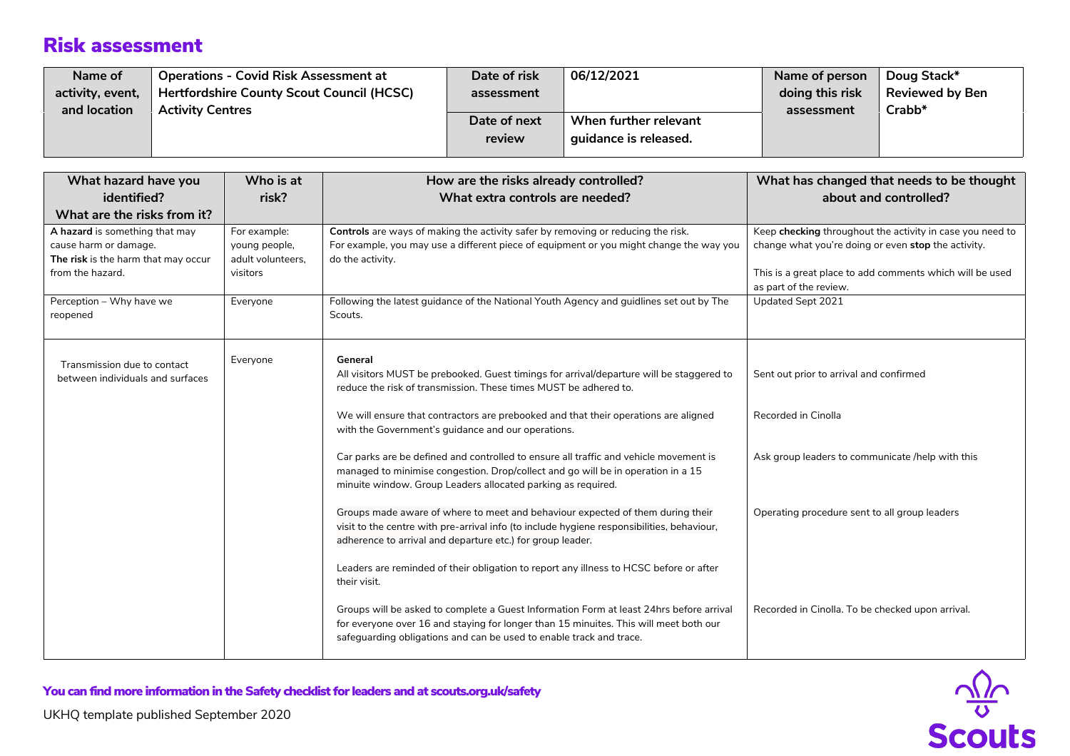| Name of          | <b>Operations - Covid Risk Assessment at</b> | Date of risk | 06/12/2021            | Name of person  | Doug Stack*            |
|------------------|----------------------------------------------|--------------|-----------------------|-----------------|------------------------|
| activity, event, | Hertfordshire County Scout Council (HCSC)    | assessment   |                       | doing this risk | <b>Reviewed by Ben</b> |
| and location     | <b>Activity Centres</b>                      |              |                       | assessment      | Crabb*                 |
|                  |                                              | Date of next | When further relevant |                 |                        |
|                  |                                              | review       | guidance is released. |                 |                        |
|                  |                                              |              |                       |                 |                        |

| What hazard have you                                                                                               | Who is at                                                      | How are the risks already controlled?                                                                                                                                                                                                                   | What has changed that needs to be thought                                                                                                                                                              |  |
|--------------------------------------------------------------------------------------------------------------------|----------------------------------------------------------------|---------------------------------------------------------------------------------------------------------------------------------------------------------------------------------------------------------------------------------------------------------|--------------------------------------------------------------------------------------------------------------------------------------------------------------------------------------------------------|--|
| identified?<br>What are the risks from it?                                                                         | risk?                                                          | What extra controls are needed?                                                                                                                                                                                                                         | about and controlled?                                                                                                                                                                                  |  |
| A hazard is something that may<br>cause harm or damage.<br>The risk is the harm that may occur<br>from the hazard. | For example:<br>young people,<br>adult volunteers.<br>visitors | Controls are ways of making the activity safer by removing or reducing the risk.<br>For example, you may use a different piece of equipment or you might change the way you<br>do the activity.                                                         | Keep checking throughout the activity in case you need to<br>change what you're doing or even stop the activity.<br>This is a great place to add comments which will be used<br>as part of the review. |  |
| Perception - Why have we<br>reopened                                                                               | Everyone                                                       | Following the latest guidance of the National Youth Agency and guidlines set out by The<br>Scouts.                                                                                                                                                      | Updated Sept 2021                                                                                                                                                                                      |  |
| Transmission due to contact<br>between individuals and surfaces                                                    | Everyone                                                       | General<br>All visitors MUST be prebooked. Guest timings for arrival/departure will be staggered to<br>reduce the risk of transmission. These times MUST be adhered to.                                                                                 | Sent out prior to arrival and confirmed                                                                                                                                                                |  |
|                                                                                                                    |                                                                | We will ensure that contractors are prebooked and that their operations are aligned<br>with the Government's guidance and our operations.                                                                                                               | Recorded in Cinolla                                                                                                                                                                                    |  |
|                                                                                                                    |                                                                | Car parks are be defined and controlled to ensure all traffic and vehicle movement is<br>managed to minimise congestion. Drop/collect and go will be in operation in a 15<br>minuite window. Group Leaders allocated parking as required.               | Ask group leaders to communicate /help with this                                                                                                                                                       |  |
|                                                                                                                    |                                                                | Groups made aware of where to meet and behaviour expected of them during their<br>visit to the centre with pre-arrival info (to include hygiene responsibilities, behaviour,<br>adherence to arrival and departure etc.) for group leader.              | Operating procedure sent to all group leaders                                                                                                                                                          |  |
|                                                                                                                    |                                                                | Leaders are reminded of their obligation to report any illness to HCSC before or after<br>their visit.                                                                                                                                                  |                                                                                                                                                                                                        |  |
|                                                                                                                    |                                                                | Groups will be asked to complete a Guest Information Form at least 24hrs before arrival<br>for everyone over 16 and staying for longer than 15 minuites. This will meet both our<br>safeguarding obligations and can be used to enable track and trace. | Recorded in Cinolla. To be checked upon arrival.                                                                                                                                                       |  |

 $\frac{\sqrt{2}}{8}$ 



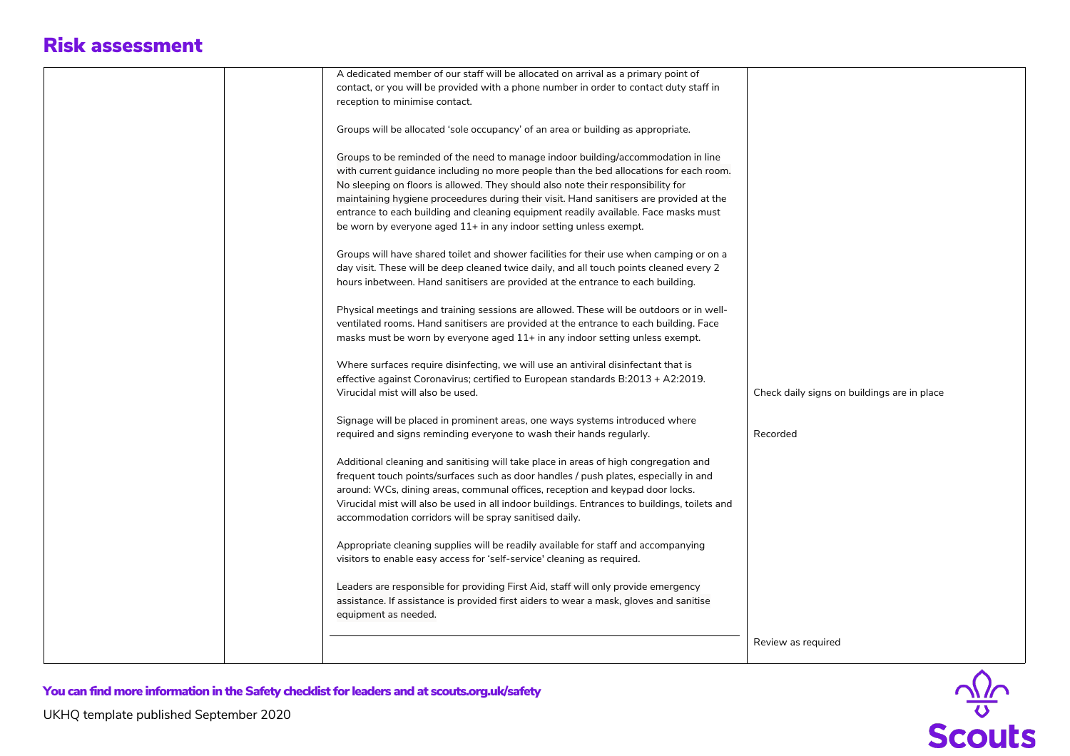| A dedicated member of our staff will be allocated on arrival as a primary point of            |                                             |
|-----------------------------------------------------------------------------------------------|---------------------------------------------|
| contact, or you will be provided with a phone number in order to contact duty staff in        |                                             |
| reception to minimise contact.                                                                |                                             |
|                                                                                               |                                             |
| Groups will be allocated 'sole occupancy' of an area or building as appropriate.              |                                             |
|                                                                                               |                                             |
| Groups to be reminded of the need to manage indoor building/accommodation in line             |                                             |
| with current guidance including no more people than the bed allocations for each room.        |                                             |
| No sleeping on floors is allowed. They should also note their responsibility for              |                                             |
| maintaining hygiene proceedures during their visit. Hand sanitisers are provided at the       |                                             |
| entrance to each building and cleaning equipment readily available. Face masks must           |                                             |
| be worn by everyone aged 11+ in any indoor setting unless exempt.                             |                                             |
|                                                                                               |                                             |
| Groups will have shared toilet and shower facilities for their use when camping or on a       |                                             |
| day visit. These will be deep cleaned twice daily, and all touch points cleaned every 2       |                                             |
| hours inbetween. Hand sanitisers are provided at the entrance to each building.               |                                             |
|                                                                                               |                                             |
| Physical meetings and training sessions are allowed. These will be outdoors or in well-       |                                             |
|                                                                                               |                                             |
| ventilated rooms. Hand sanitisers are provided at the entrance to each building. Face         |                                             |
| masks must be worn by everyone aged 11+ in any indoor setting unless exempt.                  |                                             |
|                                                                                               |                                             |
| Where surfaces require disinfecting, we will use an antiviral disinfectant that is            |                                             |
| effective against Coronavirus; certified to European standards B:2013 + A2:2019.              |                                             |
| Virucidal mist will also be used.                                                             | Check daily signs on buildings are in place |
|                                                                                               |                                             |
| Signage will be placed in prominent areas, one ways systems introduced where                  |                                             |
| required and signs reminding everyone to wash their hands regularly.                          | Recorded                                    |
|                                                                                               |                                             |
| Additional cleaning and sanitising will take place in areas of high congregation and          |                                             |
| frequent touch points/surfaces such as door handles / push plates, especially in and          |                                             |
| around: WCs, dining areas, communal offices, reception and keypad door locks.                 |                                             |
| Virucidal mist will also be used in all indoor buildings. Entrances to buildings, toilets and |                                             |
| accommodation corridors will be spray sanitised daily.                                        |                                             |
|                                                                                               |                                             |
| Appropriate cleaning supplies will be readily available for staff and accompanying            |                                             |
| visitors to enable easy access for 'self-service' cleaning as required.                       |                                             |
|                                                                                               |                                             |
| Leaders are responsible for providing First Aid, staff will only provide emergency            |                                             |
| assistance. If assistance is provided first aiders to wear a mask, gloves and sanitise        |                                             |
| equipment as needed.                                                                          |                                             |
|                                                                                               |                                             |
|                                                                                               | Review as required                          |
|                                                                                               |                                             |
|                                                                                               |                                             |

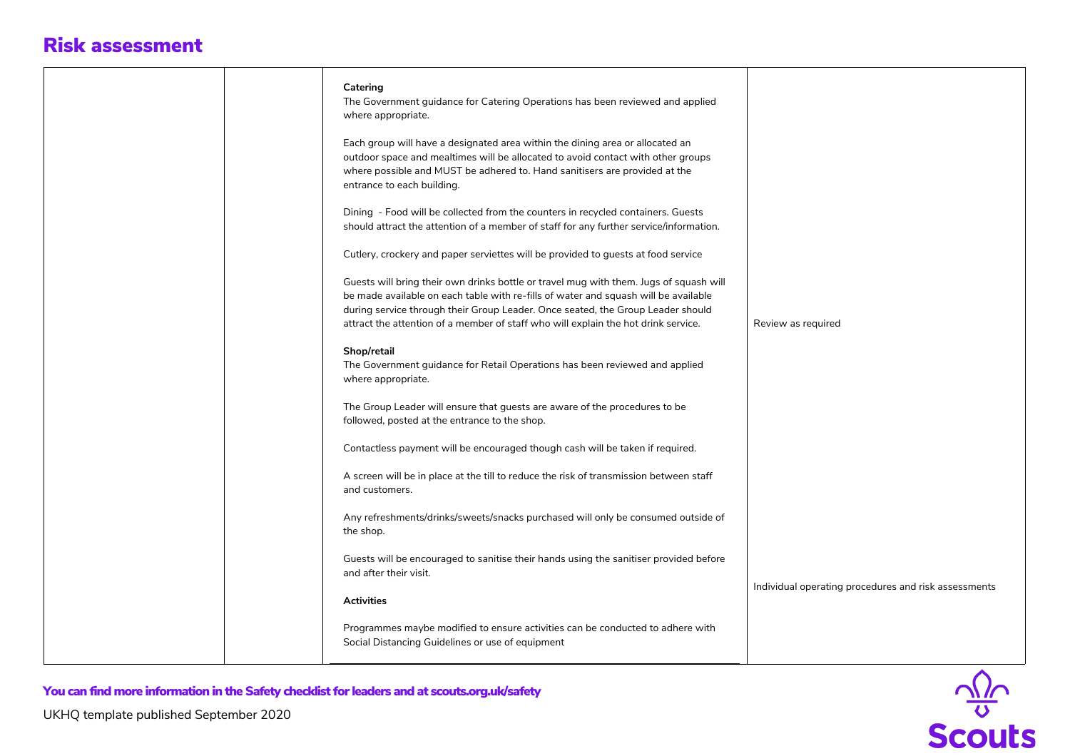|                                                                                               | Catering<br>The Government guidance for Catering Operations has been reviewed and applied<br>where appropriate.                                                                                                                                                                                                                                        |                                                      |
|-----------------------------------------------------------------------------------------------|--------------------------------------------------------------------------------------------------------------------------------------------------------------------------------------------------------------------------------------------------------------------------------------------------------------------------------------------------------|------------------------------------------------------|
|                                                                                               | Each group will have a designated area within the dining area or allocated an<br>outdoor space and mealtimes will be allocated to avoid contact with other groups<br>where possible and MUST be adhered to. Hand sanitisers are provided at the<br>entrance to each building.                                                                          |                                                      |
|                                                                                               | Dining - Food will be collected from the counters in recycled containers. Guests<br>should attract the attention of a member of staff for any further service/information.                                                                                                                                                                             |                                                      |
|                                                                                               | Cutlery, crockery and paper serviettes will be provided to guests at food service                                                                                                                                                                                                                                                                      |                                                      |
|                                                                                               | Guests will bring their own drinks bottle or travel mug with them. Jugs of squash will<br>be made available on each table with re-fills of water and squash will be available<br>during service through their Group Leader. Once seated, the Group Leader should<br>attract the attention of a member of staff who will explain the hot drink service. | Review as required                                   |
|                                                                                               | Shop/retail<br>The Government guidance for Retail Operations has been reviewed and applied<br>where appropriate.                                                                                                                                                                                                                                       |                                                      |
|                                                                                               | The Group Leader will ensure that guests are aware of the procedures to be<br>followed, posted at the entrance to the shop.                                                                                                                                                                                                                            |                                                      |
|                                                                                               | Contactless payment will be encouraged though cash will be taken if required.                                                                                                                                                                                                                                                                          |                                                      |
|                                                                                               | A screen will be in place at the till to reduce the risk of transmission between staff<br>and customers.                                                                                                                                                                                                                                               |                                                      |
|                                                                                               | Any refreshments/drinks/sweets/snacks purchased will only be consumed outside of<br>the shop.                                                                                                                                                                                                                                                          |                                                      |
|                                                                                               | Guests will be encouraged to sanitise their hands using the sanitiser provided before<br>and after their visit.                                                                                                                                                                                                                                        |                                                      |
|                                                                                               | <b>Activities</b>                                                                                                                                                                                                                                                                                                                                      | Individual operating procedures and risk assessments |
|                                                                                               | Programmes maybe modified to ensure activities can be conducted to adhere with<br>Social Distancing Guidelines or use of equipment                                                                                                                                                                                                                     |                                                      |
| You can find more information in the Safety checklist for leaders and at scouts.org.uk/safety |                                                                                                                                                                                                                                                                                                                                                        |                                                      |
| UKHQ template published September 2020                                                        |                                                                                                                                                                                                                                                                                                                                                        |                                                      |
|                                                                                               |                                                                                                                                                                                                                                                                                                                                                        | $\frac{\sqrt{2}}{3}$                                 |

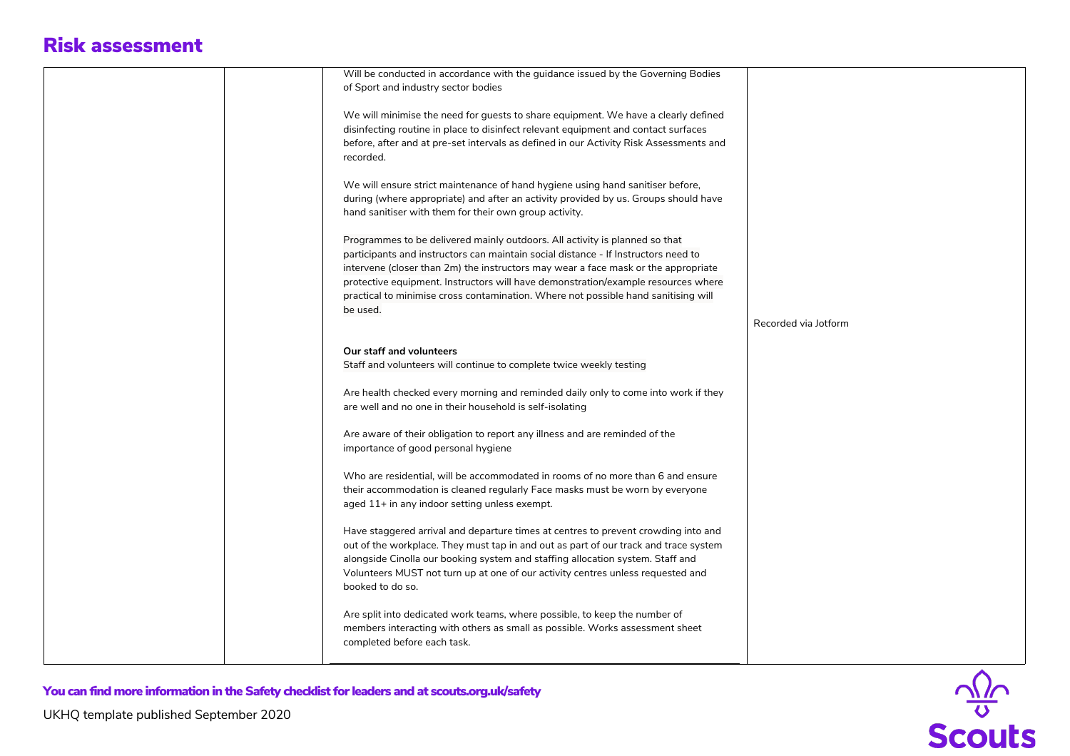| Will be conducted in accordance with the guidance issued by the Governing Bodies       |                      |
|----------------------------------------------------------------------------------------|----------------------|
| of Sport and industry sector bodies                                                    |                      |
|                                                                                        |                      |
| We will minimise the need for guests to share equipment. We have a clearly defined     |                      |
| disinfecting routine in place to disinfect relevant equipment and contact surfaces     |                      |
|                                                                                        |                      |
| before, after and at pre-set intervals as defined in our Activity Risk Assessments and |                      |
| recorded.                                                                              |                      |
|                                                                                        |                      |
| We will ensure strict maintenance of hand hygiene using hand sanitiser before,         |                      |
| during (where appropriate) and after an activity provided by us. Groups should have    |                      |
| hand sanitiser with them for their own group activity.                                 |                      |
|                                                                                        |                      |
| Programmes to be delivered mainly outdoors. All activity is planned so that            |                      |
| participants and instructors can maintain social distance - If Instructors need to     |                      |
| intervene (closer than 2m) the instructors may wear a face mask or the appropriate     |                      |
| protective equipment. Instructors will have demonstration/example resources where      |                      |
|                                                                                        |                      |
| practical to minimise cross contamination. Where not possible hand sanitising will     |                      |
| be used.                                                                               |                      |
|                                                                                        | Recorded via Jotform |
|                                                                                        |                      |
| Our staff and volunteers                                                               |                      |
| Staff and volunteers will continue to complete twice weekly testing                    |                      |
|                                                                                        |                      |
| Are health checked every morning and reminded daily only to come into work if they     |                      |
| are well and no one in their household is self-isolating                               |                      |
|                                                                                        |                      |
|                                                                                        |                      |
| Are aware of their obligation to report any illness and are reminded of the            |                      |
| importance of good personal hygiene                                                    |                      |
|                                                                                        |                      |
| Who are residential, will be accommodated in rooms of no more than 6 and ensure        |                      |
| their accommodation is cleaned regularly Face masks must be worn by everyone           |                      |
| aged 11+ in any indoor setting unless exempt.                                          |                      |
|                                                                                        |                      |
| Have staggered arrival and departure times at centres to prevent crowding into and     |                      |
| out of the workplace. They must tap in and out as part of our track and trace system   |                      |
| alongside Cinolla our booking system and staffing allocation system. Staff and         |                      |
|                                                                                        |                      |
| Volunteers MUST not turn up at one of our activity centres unless requested and        |                      |
| booked to do so.                                                                       |                      |
|                                                                                        |                      |
| Are split into dedicated work teams, where possible, to keep the number of             |                      |
| members interacting with others as small as possible. Works assessment sheet           |                      |
| completed before each task.                                                            |                      |
|                                                                                        |                      |
|                                                                                        |                      |



UKHQ template published September 2020